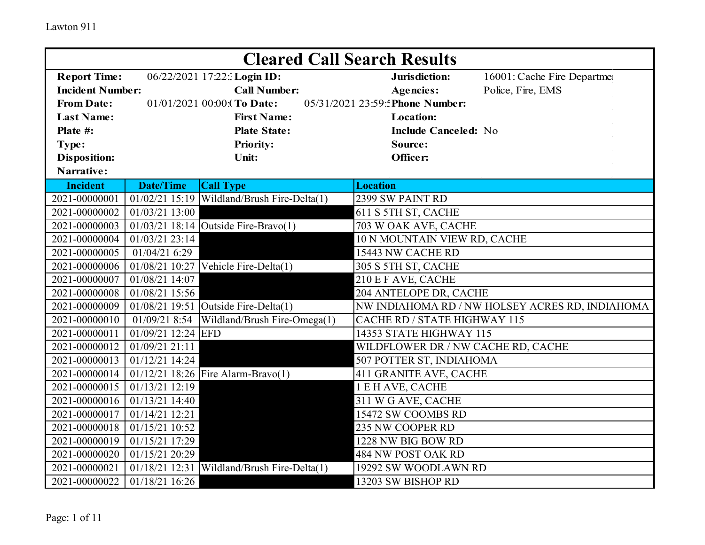|                         | <b>Cleared Call Search Results</b> |                                               |                                    |                                                 |  |  |
|-------------------------|------------------------------------|-----------------------------------------------|------------------------------------|-------------------------------------------------|--|--|
| <b>Report Time:</b>     |                                    | 06/22/2021 17:22: Login ID:                   | Jurisdiction:                      | 16001: Cache Fire Departme                      |  |  |
| <b>Incident Number:</b> |                                    | <b>Call Number:</b>                           | <b>Agencies:</b>                   | Police, Fire, EMS                               |  |  |
| <b>From Date:</b>       |                                    | 01/01/2021 00:00:(To Date:                    | 05/31/2021 23:59: Phone Number:    |                                                 |  |  |
| <b>Last Name:</b>       |                                    | <b>First Name:</b>                            | <b>Location:</b>                   |                                                 |  |  |
| Plate #:                |                                    | <b>Plate State:</b>                           | <b>Include Canceled: No</b>        |                                                 |  |  |
| Type:                   |                                    | <b>Priority:</b>                              | Source:                            |                                                 |  |  |
| <b>Disposition:</b>     |                                    | Unit:                                         | Officer:                           |                                                 |  |  |
| Narrative:              |                                    |                                               |                                    |                                                 |  |  |
| <b>Incident</b>         | <b>Date/Time</b>                   | <b>Call Type</b>                              | <b>Location</b>                    |                                                 |  |  |
| 2021-00000001           |                                    | $01/02/21$ 15:19 Wildland/Brush Fire-Delta(1) | 2399 SW PAINT RD                   |                                                 |  |  |
| 2021-00000002           | 01/03/21 13:00                     |                                               | 611 S 5TH ST, CACHE                |                                                 |  |  |
| 2021-00000003           |                                    | $01/03/21$ 18:14 Outside Fire-Bravo(1)        | 703 W OAK AVE, CACHE               |                                                 |  |  |
| 2021-00000004           | 01/03/21 23:14                     |                                               | 10 N MOUNTAIN VIEW RD, CACHE       |                                                 |  |  |
| 2021-00000005           | 01/04/21 6:29                      |                                               | 15443 NW CACHE RD                  |                                                 |  |  |
| 2021-00000006           |                                    | $01/08/21$ 10:27 Vehicle Fire-Delta(1)        | 305 S 5TH ST, CACHE                |                                                 |  |  |
| 2021-00000007           | 01/08/21 14:07                     |                                               | 210 E F AVE, CACHE                 |                                                 |  |  |
| 2021-00000008           | 01/08/21 15:56                     |                                               | 204 ANTELOPE DR, CACHE             |                                                 |  |  |
| 2021-00000009           |                                    | $01/08/21$ 19:51 Outside Fire-Delta(1)        |                                    | NW INDIAHOMA RD / NW HOLSEY ACRES RD, INDIAHOMA |  |  |
| 2021-00000010           | 01/09/21 8:54                      | Wildland/Brush Fire-Omega(1)                  | CACHE RD / STATE HIGHWAY 115       |                                                 |  |  |
| 2021-00000011           | 01/09/21 12:24 EFD                 |                                               | 14353 STATE HIGHWAY 115            |                                                 |  |  |
| 2021-00000012           | 01/09/21 21:11                     |                                               | WILDFLOWER DR / NW CACHE RD, CACHE |                                                 |  |  |
| 2021-00000013           | $01/12/21$ 14:24                   |                                               | 507 POTTER ST, INDIAHOMA           |                                                 |  |  |
| 2021-00000014           |                                    | 01/12/21 18:26 Fire Alarm-Bravo(1)            | 411 GRANITE AVE, CACHE             |                                                 |  |  |
| 2021-00000015           | 01/13/21 12:19                     |                                               | 1 E H AVE, CACHE                   |                                                 |  |  |
| 2021-00000016           | $01/13/21$ 14:40                   |                                               | 311 W G AVE, CACHE                 |                                                 |  |  |
| 2021-00000017           | 01/14/21 12:21                     |                                               | 15472 SW COOMBS RD                 |                                                 |  |  |
| 2021-00000018           | 01/15/21 10:52                     |                                               | 235 NW COOPER RD                   |                                                 |  |  |
| 2021-00000019           | 01/15/21 17:29                     |                                               | 1228 NW BIG BOW RD                 |                                                 |  |  |
| 2021-00000020           | 01/15/21 20:29                     |                                               | 484 NW POST OAK RD                 |                                                 |  |  |
| 2021-00000021           | 01/18/21 12:31                     | Wildland/Brush Fire-Delta(1)                  | 19292 SW WOODLAWN RD               |                                                 |  |  |
| 2021-00000022           | 01/18/21 16:26                     |                                               | 13203 SW BISHOP RD                 |                                                 |  |  |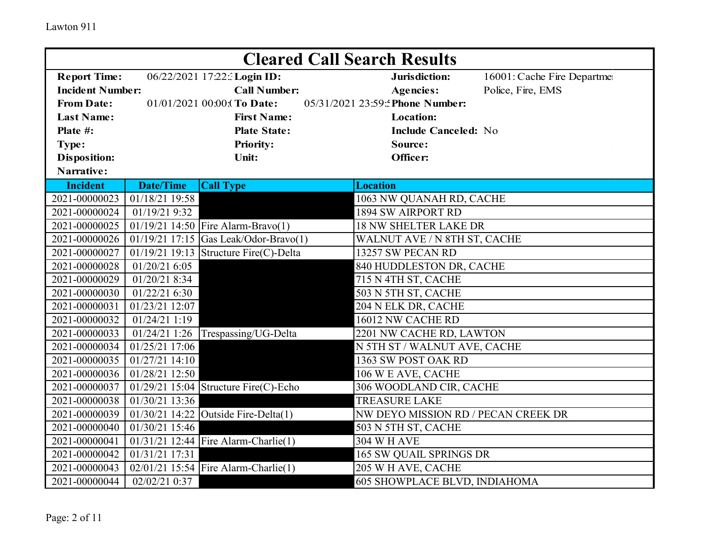|                         | <b>Cleared Call Search Results</b> |                                          |                                     |                            |  |  |
|-------------------------|------------------------------------|------------------------------------------|-------------------------------------|----------------------------|--|--|
| <b>Report Time:</b>     |                                    | 06/22/2021 17:22: Login ID:              | Jurisdiction:                       | 16001: Cache Fire Departme |  |  |
| <b>Incident Number:</b> |                                    | <b>Call Number:</b>                      | <b>Agencies:</b>                    | Police, Fire, EMS          |  |  |
| <b>From Date:</b>       |                                    | 01/01/2021 00:00:(To Date:               | 05/31/2021 23:59: Phone Number:     |                            |  |  |
| <b>Last Name:</b>       |                                    | <b>First Name:</b>                       | <b>Location:</b>                    |                            |  |  |
| Plate #:                |                                    | <b>Plate State:</b>                      | <b>Include Canceled: No</b>         |                            |  |  |
| Type:                   |                                    | <b>Priority:</b>                         | Source:                             |                            |  |  |
| <b>Disposition:</b>     |                                    | Unit:                                    | Officer:                            |                            |  |  |
| Narrative:              |                                    |                                          |                                     |                            |  |  |
| <b>Incident</b>         | <b>Date/Time</b>                   | <b>Call Type</b>                         | <b>Location</b>                     |                            |  |  |
| 2021-00000023           | 01/18/21 19:58                     |                                          | 1063 NW QUANAH RD, CACHE            |                            |  |  |
| 2021-00000024           | 01/19/21 9:32                      |                                          | 1894 SW AIRPORT RD                  |                            |  |  |
| 2021-00000025           |                                    | 01/19/21 14:50 Fire Alarm-Bravo(1)       | <b>18 NW SHELTER LAKE DR</b>        |                            |  |  |
| 2021-00000026           |                                    | 01/19/21 17:15 Gas Leak/Odor-Bravo(1)    | WALNUT AVE / N 8TH ST, CACHE        |                            |  |  |
| 2021-00000027           |                                    | $01/19/21$ 19:13 Structure Fire(C)-Delta | 13257 SW PECAN RD                   |                            |  |  |
| 2021-00000028           | 01/20/21 6:05                      |                                          | 840 HUDDLESTON DR, CACHE            |                            |  |  |
| 2021-00000029           | 01/20/21 8:34                      |                                          | 715 N 4TH ST, CACHE                 |                            |  |  |
| 2021-00000030           | 01/22/21 6:30                      |                                          | 503 N 5TH ST, CACHE                 |                            |  |  |
| 2021-00000031           | 01/23/21 12:07                     |                                          | 204 N ELK DR, CACHE                 |                            |  |  |
| 2021-00000032           | 01/24/21 1:19                      |                                          | 16012 NW CACHE RD                   |                            |  |  |
| 2021-00000033           | 01/24/21 1:26                      | Trespassing/UG-Delta                     | 2201 NW CACHE RD, LAWTON            |                            |  |  |
| 2021-00000034           | 01/25/21 17:06                     |                                          | N 5TH ST / WALNUT AVE, CACHE        |                            |  |  |
| 2021-00000035           | 01/27/21 14:10                     |                                          | 1363 SW POST OAK RD                 |                            |  |  |
| 2021-00000036           | 01/28/21 12:50                     |                                          | 106 W E AVE, CACHE                  |                            |  |  |
| 2021-00000037           |                                    | $01/29/21$ 15:04 Structure Fire(C)-Echo  | 306 WOODLAND CIR, CACHE             |                            |  |  |
| 2021-00000038           | 01/30/21 13:36                     |                                          | <b>TREASURE LAKE</b>                |                            |  |  |
| 2021-00000039           | 01/30/21 14:22                     | Outside Fire-Delta(1)                    | NW DEYO MISSION RD / PECAN CREEK DR |                            |  |  |
| 2021-00000040           | 01/30/21 15:46                     |                                          | 503 N 5TH ST, CACHE                 |                            |  |  |
| 2021-00000041           |                                    | $01/31/21$ 12:44 Fire Alarm-Charlie(1)   | <b>304 W H AVE</b>                  |                            |  |  |
| 2021-00000042           | 01/31/21 17:31                     |                                          | 165 SW QUAIL SPRINGS DR             |                            |  |  |
| 2021-00000043           |                                    | 02/01/21 15:54 Fire Alarm-Charlie(1)     | 205 W H AVE, CACHE                  |                            |  |  |
| 2021-00000044           | 02/02/21 0:37                      |                                          | 605 SHOWPLACE BLVD, INDIAHOMA       |                            |  |  |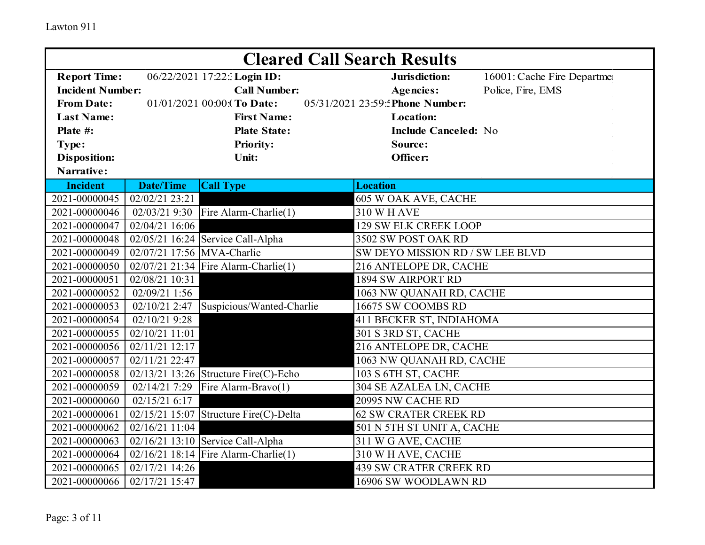|                         | <b>Cleared Call Search Results</b> |                                         |                                  |                            |  |  |
|-------------------------|------------------------------------|-----------------------------------------|----------------------------------|----------------------------|--|--|
| <b>Report Time:</b>     |                                    | 06/22/2021 17:22: Login ID:             | Jurisdiction:                    | 16001: Cache Fire Departme |  |  |
| <b>Incident Number:</b> |                                    | <b>Call Number:</b>                     | <b>Agencies:</b>                 | Police, Fire, EMS          |  |  |
| <b>From Date:</b>       |                                    | 01/01/2021 00:00: To Date:              | 05/31/2021 23:59: Phone Number:  |                            |  |  |
| <b>Last Name:</b>       |                                    | <b>First Name:</b>                      | <b>Location:</b>                 |                            |  |  |
| Plate #:                |                                    | <b>Plate State:</b>                     | <b>Include Canceled: No</b>      |                            |  |  |
| Type:                   |                                    | <b>Priority:</b>                        | Source:                          |                            |  |  |
| <b>Disposition:</b>     |                                    | <b>Unit:</b>                            | Officer:                         |                            |  |  |
| Narrative:              |                                    |                                         |                                  |                            |  |  |
| <b>Incident</b>         | <b>Date/Time</b>                   | <b>Call Type</b>                        | <b>Location</b>                  |                            |  |  |
| 2021-00000045           | 02/02/21 23:21                     |                                         | 605 W OAK AVE, CACHE             |                            |  |  |
| 2021-00000046           | 02/03/21 9:30                      | Fire Alarm-Charlie(1)                   | <b>310 W H AVE</b>               |                            |  |  |
| 2021-00000047           | 02/04/21 16:06                     |                                         | <b>129 SW ELK CREEK LOOP</b>     |                            |  |  |
| 2021-00000048           |                                    | $02/05/21$ 16:24 Service Call-Alpha     | 3502 SW POST OAK RD              |                            |  |  |
| 2021-00000049           | 02/07/21 17:56 MVA-Charlie         |                                         | SW DEYO MISSION RD / SW LEE BLVD |                            |  |  |
| 2021-00000050           |                                    | 02/07/21 21:34 Fire Alarm-Charlie(1)    | 216 ANTELOPE DR, CACHE           |                            |  |  |
| 2021-00000051           | 02/08/21 10:31                     |                                         | <b>1894 SW AIRPORT RD</b>        |                            |  |  |
| 2021-00000052           | 02/09/21 1:56                      |                                         | 1063 NW QUANAH RD, CACHE         |                            |  |  |
| 2021-00000053           | 02/10/21 2:47                      | Suspicious/Wanted-Charlie               | 16675 SW COOMBS RD               |                            |  |  |
| 2021-00000054           | 02/10/21 9:28                      |                                         | 411 BECKER ST, INDIAHOMA         |                            |  |  |
| 2021-00000055           | 02/10/21 11:01                     |                                         | 301 S 3RD ST, CACHE              |                            |  |  |
| 2021-00000056           | 02/11/21 12:17                     |                                         | 216 ANTELOPE DR, CACHE           |                            |  |  |
| 2021-00000057           | 02/11/21 22:47                     |                                         | 1063 NW QUANAH RD, CACHE         |                            |  |  |
| 2021-00000058           |                                    | $02/13/21$ 13:26 Structure Fire(C)-Echo | 103 S 6TH ST, CACHE              |                            |  |  |
| 2021-00000059           | 02/14/21 7:29                      | Fire Alarm-Bravo(1)                     | 304 SE AZALEA LN, CACHE          |                            |  |  |
| 2021-00000060           | 02/15/21 6:17                      |                                         | 20995 NW CACHE RD                |                            |  |  |
| 2021-00000061           | 02/15/21 15:07                     | Structure Fire(C)-Delta                 | <b>62 SW CRATER CREEK RD</b>     |                            |  |  |
| 2021-00000062           | 02/16/21 11:04                     |                                         | 501 N 5TH ST UNIT A, CACHE       |                            |  |  |
| 2021-00000063           |                                    | $02/16/21$ 13:10 Service Call-Alpha     | 311 W G AVE, CACHE               |                            |  |  |
| 2021-00000064           |                                    | $02/16/21$ 18:14 Fire Alarm-Charlie(1)  | 310 W H AVE, CACHE               |                            |  |  |
| 2021-00000065           | 02/17/21 14:26                     |                                         | <b>439 SW CRATER CREEK RD</b>    |                            |  |  |
| 2021-00000066           | 02/17/21 15:47                     |                                         | 16906 SW WOODLAWN RD             |                            |  |  |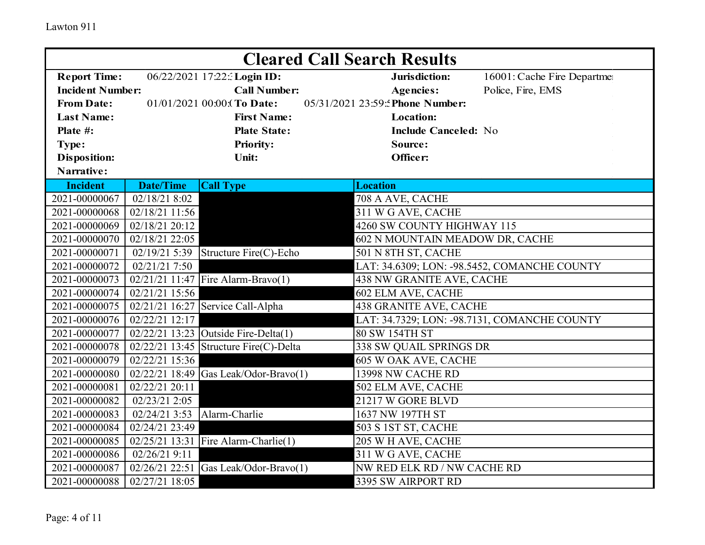|                         | <b>Cleared Call Search Results</b> |                                          |                                              |  |  |  |
|-------------------------|------------------------------------|------------------------------------------|----------------------------------------------|--|--|--|
| <b>Report Time:</b>     |                                    | 06/22/2021 17:22: Login ID:              | Jurisdiction:<br>16001: Cache Fire Departme  |  |  |  |
| <b>Incident Number:</b> |                                    | <b>Call Number:</b>                      | Police, Fire, EMS<br><b>Agencies:</b>        |  |  |  |
| <b>From Date:</b>       |                                    | 01/01/2021 00:00:(To Date:               | 05/31/2021 23:59: Phone Number:              |  |  |  |
| <b>Last Name:</b>       |                                    | <b>First Name:</b>                       | <b>Location:</b>                             |  |  |  |
| Plate #:                |                                    | <b>Plate State:</b>                      | <b>Include Canceled: No</b>                  |  |  |  |
| Type:                   |                                    | <b>Priority:</b>                         | Source:                                      |  |  |  |
| <b>Disposition:</b>     |                                    | Unit:                                    | Officer:                                     |  |  |  |
| Narrative:              |                                    |                                          |                                              |  |  |  |
| <b>Incident</b>         | <b>Date/Time</b>                   | <b>Call Type</b>                         | <b>Location</b>                              |  |  |  |
| 2021-00000067           | 02/18/21 8:02                      |                                          | 708 A AVE, CACHE                             |  |  |  |
| 2021-00000068           | $\overline{02}/18/2111:56$         |                                          | 311 W G AVE, CACHE                           |  |  |  |
| 2021-00000069           | 02/18/21 20:12                     |                                          | 4260 SW COUNTY HIGHWAY 115                   |  |  |  |
| 2021-00000070           | 02/18/21 22:05                     |                                          | 602 N MOUNTAIN MEADOW DR, CACHE              |  |  |  |
| 2021-00000071           | 02/19/21 5:39                      | Structure Fire(C)-Echo                   | 501 N 8TH ST, CACHE                          |  |  |  |
| 2021-00000072           | 02/21/21 7:50                      |                                          | LAT: 34.6309; LON: -98.5452, COMANCHE COUNTY |  |  |  |
| 2021-00000073           |                                    | 02/21/21 11:47 Fire Alarm-Bravo(1)       | 438 NW GRANITE AVE, CACHE                    |  |  |  |
| 2021-00000074           | 02/21/21 15:56                     |                                          | 602 ELM AVE, CACHE                           |  |  |  |
| 2021-00000075           | 02/21/21 16:27                     | Service Call-Alpha                       | 438 GRANITE AVE, CACHE                       |  |  |  |
| 2021-00000076           | 02/22/21 12:17                     |                                          | LAT: 34.7329; LON: -98.7131, COMANCHE COUNTY |  |  |  |
| 2021-00000077           |                                    | $02/22/21$ 13:23 Outside Fire-Delta(1)   | 80 SW 154TH ST                               |  |  |  |
| 2021-00000078           |                                    | $02/22/21$ 13:45 Structure Fire(C)-Delta | 338 SW QUAIL SPRINGS DR                      |  |  |  |
| 2021-00000079           | 02/22/21 15:36                     |                                          | 605 W OAK AVE, CACHE                         |  |  |  |
| 2021-00000080           |                                    | $02/22/21$ 18:49 Gas Leak/Odor-Bravo(1)  | 13998 NW CACHE RD                            |  |  |  |
| 2021-00000081           | 02/22/21 20:11                     |                                          | 502 ELM AVE, CACHE                           |  |  |  |
| 2021-00000082           | 02/23/21 2:05                      |                                          | 21217 W GORE BLVD                            |  |  |  |
| 2021-00000083           | 02/24/21 3:53                      | Alarm-Charlie                            | 1637 NW 197TH ST                             |  |  |  |
| 2021-00000084           | 02/24/21 23:49                     |                                          | 503 S 1ST ST, CACHE                          |  |  |  |
| 2021-00000085           |                                    | 02/25/21 13:31 Fire Alarm-Charlie(1)     | 205 W H AVE, CACHE                           |  |  |  |
| 2021-00000086           | 02/26/21 9:11                      |                                          | 311 W G AVE, CACHE                           |  |  |  |
| 2021-00000087           | 02/26/21 22:51                     | Gas Leak/Odor-Bravo(1)                   | NW RED ELK RD / NW CACHE RD                  |  |  |  |
| 2021-00000088           | 02/27/21 18:05                     |                                          | 3395 SW AIRPORT RD                           |  |  |  |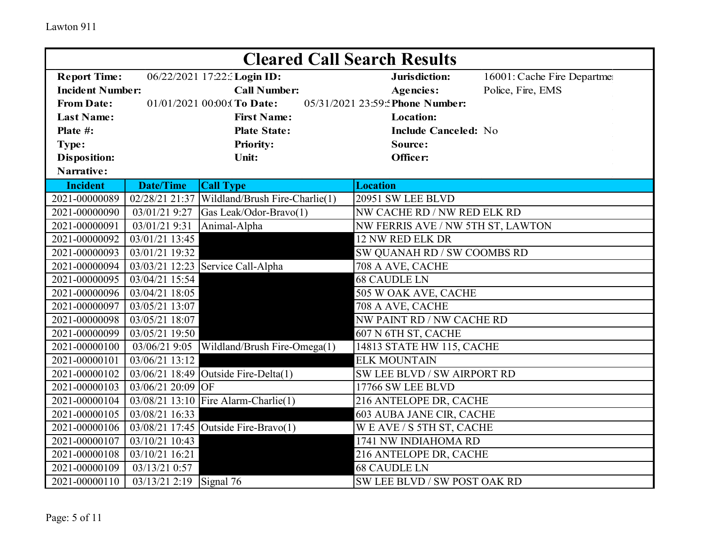| <b>Cleared Call Search Results</b> |                         |                                        |                                     |                            |  |
|------------------------------------|-------------------------|----------------------------------------|-------------------------------------|----------------------------|--|
| <b>Report Time:</b>                |                         | 06/22/2021 17:22: Login ID:            | Jurisdiction:                       | 16001: Cache Fire Departme |  |
| <b>Incident Number:</b>            |                         | <b>Call Number:</b>                    | <b>Agencies:</b>                    | Police, Fire, EMS          |  |
| <b>From Date:</b>                  |                         | 01/01/2021 00:00: (To Date:            | 05/31/2021 23:59: Phone Number:     |                            |  |
| <b>Last Name:</b>                  |                         | <b>First Name:</b>                     | <b>Location:</b>                    |                            |  |
| Plate #:                           |                         | <b>Plate State:</b>                    | <b>Include Canceled: No</b>         |                            |  |
| Type:                              |                         | <b>Priority:</b>                       | Source:                             |                            |  |
| <b>Disposition:</b>                |                         | Unit:                                  | Officer:                            |                            |  |
| Narrative:                         |                         |                                        |                                     |                            |  |
| <b>Incident</b>                    | <b>Date/Time</b>        | <b>Call Type</b>                       | <b>Location</b>                     |                            |  |
| 2021-00000089                      | 02/28/21 21:37          | Wildland/Brush Fire-Charlie(1)         | 20951 SW LEE BLVD                   |                            |  |
| 2021-00000090                      | 03/01/21 9:27           | Gas Leak/Odor-Bravo(1)                 | NW CACHE RD / NW RED ELK RD         |                            |  |
| 2021-00000091                      | 03/01/21 9:31           | Animal-Alpha                           | NW FERRIS AVE / NW 5TH ST, LAWTON   |                            |  |
| 2021-00000092                      | 03/01/21 13:45          |                                        | 12 NW RED ELK DR                    |                            |  |
| 2021-00000093                      | 03/01/21 19:32          |                                        | SW QUANAH RD / SW COOMBS RD         |                            |  |
| 2021-00000094                      |                         | 03/03/21 12:23 Service Call-Alpha      | 708 A AVE, CACHE                    |                            |  |
| 2021-00000095                      | 03/04/21 15:54          |                                        | <b>68 CAUDLE LN</b>                 |                            |  |
| 2021-00000096                      | 03/04/21 18:05          |                                        | 505 W OAK AVE, CACHE                |                            |  |
| 2021-00000097                      | 03/05/21 13:07          |                                        | 708 A AVE, CACHE                    |                            |  |
| 2021-00000098                      | 03/05/21 18:07          |                                        | NW PAINT RD / NW CACHE RD           |                            |  |
| 2021-00000099                      | 03/05/21 19:50          |                                        | $\overline{607}$ N 6TH ST, CACHE    |                            |  |
| 2021-00000100                      | 03/06/21 9:05           | Wildland/Brush Fire-Omega(1)           | 14813 STATE HW 115, CACHE           |                            |  |
| 2021-00000101                      | 03/06/21 13:12          |                                        | <b>ELK MOUNTAIN</b>                 |                            |  |
| 2021-00000102                      |                         | $03/06/21$ 18:49 Outside Fire-Delta(1) | SW LEE BLVD / SW AIRPORT RD         |                            |  |
| 2021-00000103                      | 03/06/21 20:09 OF       |                                        | 17766 SW LEE BLVD                   |                            |  |
| 2021-00000104                      |                         | 03/08/21 13:10 Fire Alarm-Charlie(1)   | 216 ANTELOPE DR, CACHE              |                            |  |
| 2021-00000105                      | 03/08/21 16:33          |                                        | 603 AUBA JANE CIR, CACHE            |                            |  |
| 2021-00000106                      |                         | 03/08/21 17:45 Outside Fire-Bravo(1)   | WEAVE / S 5TH ST, CACHE             |                            |  |
| 2021-00000107                      | 03/10/21 10:43          |                                        | 1741 NW INDIAHOMA RD                |                            |  |
| 2021-00000108                      | 03/10/21 16:21          |                                        | 216 ANTELOPE DR, CACHE              |                            |  |
| 2021-00000109                      | 03/13/21 0:57           |                                        | <b>68 CAUDLE LN</b>                 |                            |  |
| 2021-00000110                      | 03/13/21 2:19 Signal 76 |                                        | <b>SW LEE BLVD / SW POST OAK RD</b> |                            |  |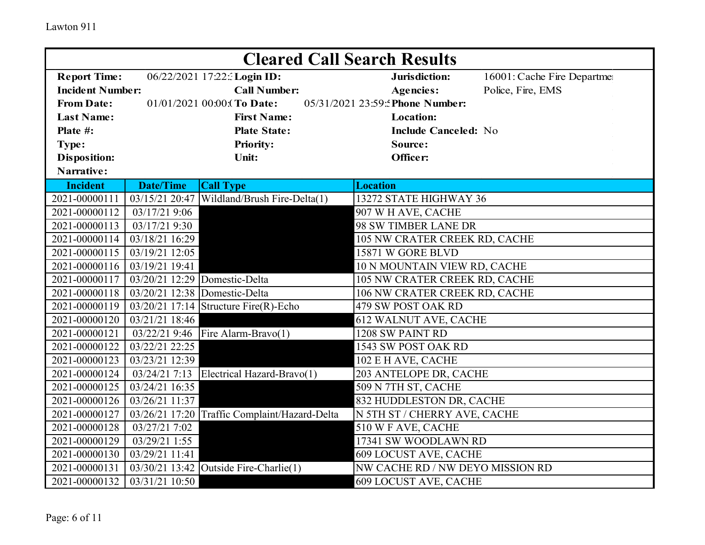|                         |                               | <b>Cleared Call Search Results</b>            |                                  |                            |
|-------------------------|-------------------------------|-----------------------------------------------|----------------------------------|----------------------------|
| <b>Report Time:</b>     |                               | 06/22/2021 17:22: Login ID:                   | Jurisdiction:                    | 16001: Cache Fire Departme |
| <b>Incident Number:</b> |                               | <b>Call Number:</b>                           | <b>Agencies:</b>                 | Police, Fire, EMS          |
| <b>From Date:</b>       |                               | 01/01/2021 00:00: To Date:                    | 05/31/2021 23:59: Phone Number:  |                            |
| <b>Last Name:</b>       |                               | <b>First Name:</b>                            | <b>Location:</b>                 |                            |
| Plate #:                |                               | <b>Plate State:</b>                           | <b>Include Canceled: No</b>      |                            |
| Type:                   |                               | <b>Priority:</b>                              | Source:                          |                            |
| <b>Disposition:</b>     |                               | <b>Unit:</b>                                  | Officer:                         |                            |
| Narrative:              |                               |                                               |                                  |                            |
| <b>Incident</b>         | <b>Date/Time</b>              | <b>Call Type</b>                              | <b>Location</b>                  |                            |
| 2021-00000111           | 03/15/21 20:47                | Wildland/Brush Fire-Delta(1)                  | 13272 STATE HIGHWAY 36           |                            |
| 2021-00000112           | 03/17/21 9:06                 |                                               | 907 W H AVE, CACHE               |                            |
| 2021-00000113           | 03/17/21 9:30                 |                                               | 98 SW TIMBER LANE DR             |                            |
| 2021-00000114           | 03/18/21 16:29                |                                               | 105 NW CRATER CREEK RD, CACHE    |                            |
| 2021-00000115           | 03/19/21 12:05                |                                               | 15871 W GORE BLVD                |                            |
| 2021-00000116           | 03/19/21 19:41                |                                               | 10 N MOUNTAIN VIEW RD, CACHE     |                            |
| 2021-00000117           | 03/20/21 12:29 Domestic-Delta |                                               | 105 NW CRATER CREEK RD, CACHE    |                            |
| 2021-00000118           | 03/20/21 12:38 Domestic-Delta |                                               | 106 NW CRATER CREEK RD, CACHE    |                            |
| 2021-00000119           |                               | $03/20/21$ 17:14 Structure Fire(R)-Echo       | 479 SW POST OAK RD               |                            |
| 2021-00000120           | 03/21/21 18:46                |                                               | 612 WALNUT AVE, CACHE            |                            |
| 2021-00000121           | 03/22/21 9:46                 | Fire Alarm-Bravo(1)                           | 1208 SW PAINT RD                 |                            |
| 2021-00000122           | 03/22/21 22:25                |                                               | 1543 SW POST OAK RD              |                            |
| 2021-00000123           | 03/23/21 12:39                |                                               | 102 E H AVE, CACHE               |                            |
| 2021-00000124           | 03/24/21 7:13                 | Electrical Hazard-Bravo(1)                    | 203 ANTELOPE DR, CACHE           |                            |
| 2021-00000125           | 03/24/21 16:35                |                                               | 509 N 7TH ST, CACHE              |                            |
| 2021-00000126           | 03/26/21 11:37                |                                               | 832 HUDDLESTON DR, CACHE         |                            |
| 2021-00000127           |                               | 03/26/21 17:20 Traffic Complaint/Hazard-Delta | N 5TH ST / CHERRY AVE, CACHE     |                            |
| 2021-00000128           | 03/27/21 7:02                 |                                               | 510 W F AVE, CACHE               |                            |
| 2021-00000129           | 03/29/21 1:55                 |                                               | 17341 SW WOODLAWN RD             |                            |
| 2021-00000130           | 03/29/21 11:41                |                                               | 609 LOCUST AVE, CACHE            |                            |
| 2021-00000131           | 03/30/21 13:42                | Outside Fire-Charlie(1)                       | NW CACHE RD / NW DEYO MISSION RD |                            |
| 2021-00000132           | 03/31/21 10:50                |                                               | <b>609 LOCUST AVE, CACHE</b>     |                            |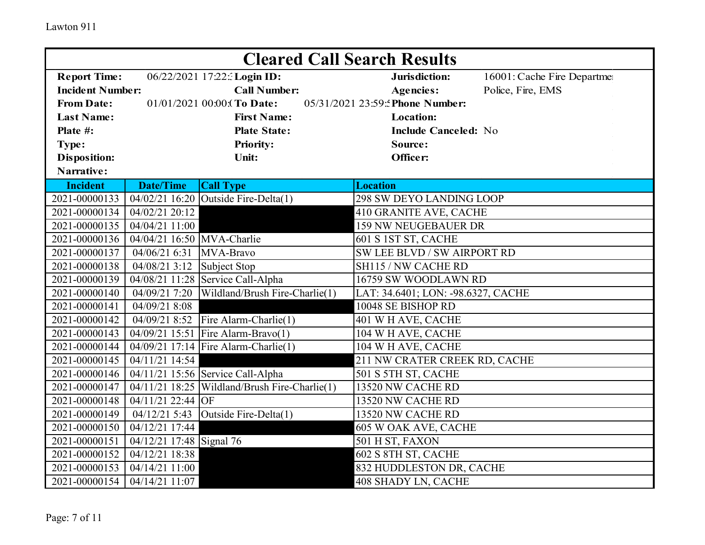| <b>Cleared Call Search Results</b> |                              |                                      |                                    |                            |  |
|------------------------------------|------------------------------|--------------------------------------|------------------------------------|----------------------------|--|
| <b>Report Time:</b>                |                              | 06/22/2021 17:22: Login ID:          | Jurisdiction:                      | 16001: Cache Fire Departme |  |
| <b>Incident Number:</b>            |                              | <b>Call Number:</b>                  | <b>Agencies:</b>                   | Police, Fire, EMS          |  |
| <b>From Date:</b>                  |                              | 01/01/2021 00:00: (To Date:          | 05/31/2021 23:59: Phone Number:    |                            |  |
| <b>Last Name:</b>                  |                              | <b>First Name:</b>                   | <b>Location:</b>                   |                            |  |
| Plate #:                           |                              | <b>Plate State:</b>                  | <b>Include Canceled: No</b>        |                            |  |
| Type:                              |                              | <b>Priority:</b>                     | Source:                            |                            |  |
| <b>Disposition:</b>                |                              | Unit:                                | Officer:                           |                            |  |
| Narrative:                         |                              |                                      |                                    |                            |  |
| <b>Incident</b>                    | <b>Date/Time</b>             | <b>Call Type</b>                     | <b>Location</b>                    |                            |  |
| 2021-00000133                      |                              | 04/02/21 16:20 Outside Fire-Delta(1) | 298 SW DEYO LANDING LOOP           |                            |  |
| 2021-00000134                      | 04/02/21 20:12               |                                      | 410 GRANITE AVE, CACHE             |                            |  |
| 2021-00000135                      | 04/04/21 11:00               |                                      | <b>159 NW NEUGEBAUER DR</b>        |                            |  |
| 2021-00000136                      | 04/04/21 16:50 MVA-Charlie   |                                      | 601 S 1ST ST, CACHE                |                            |  |
| 2021-00000137                      | 04/06/21 6:31                | MVA-Bravo                            | SW LEE BLVD / SW AIRPORT RD        |                            |  |
| 2021-00000138                      | $04/08/21$ 3:12 Subject Stop |                                      | SH115 / NW CACHE RD                |                            |  |
| 2021-00000139                      |                              | 04/08/21 11:28 Service Call-Alpha    | 16759 SW WOODLAWN RD               |                            |  |
| 2021-00000140                      | 04/09/21 7:20                | Wildland/Brush Fire-Charlie(1)       | LAT: 34.6401; LON: -98.6327, CACHE |                            |  |
| 2021-00000141                      | 04/09/21 8:08                |                                      | 10048 SE BISHOP RD                 |                            |  |
| 2021-00000142                      | 04/09/21 8:52                | Fire Alarm-Charlie(1)                | 401 W H AVE, CACHE                 |                            |  |
| 2021-00000143                      | 04/09/21 15:51               | Fire Alarm-Bravo(1)                  | 104 W H AVE, CACHE                 |                            |  |
| 2021-00000144                      |                              | 04/09/21 17:14 Fire Alarm-Charlie(1) | 104 W H AVE, CACHE                 |                            |  |
| 2021-00000145                      | $04/11/21$ 14:54             |                                      | 211 NW CRATER CREEK RD, CACHE      |                            |  |
| 2021-00000146                      |                              | 04/11/21 15:56 Service Call-Alpha    | 501 S 5TH ST, CACHE                |                            |  |
| 2021-00000147                      | 04/11/21 18:25               | Wildland/Brush Fire-Charlie(1)       | 13520 NW CACHE RD                  |                            |  |
| 2021-00000148                      | 04/11/21 22:44 OF            |                                      | 13520 NW CACHE RD                  |                            |  |
| 2021-00000149                      | 04/12/21 5:43                | Outside Fire-Delta(1)                | 13520 NW CACHE RD                  |                            |  |
| 2021-00000150                      | 04/12/21 17:44               |                                      | 605 W OAK AVE, CACHE               |                            |  |
| 2021-00000151                      | 04/12/21 17:48 Signal 76     |                                      | 501 H ST, FAXON                    |                            |  |
| 2021-00000152                      | 04/12/21 18:38               |                                      | 602 S 8TH ST, CACHE                |                            |  |
| 2021-00000153                      | 04/14/21 11:00               |                                      | 832 HUDDLESTON DR, CACHE           |                            |  |
| 2021-00000154                      | 04/14/21 11:07               |                                      | 408 SHADY LN, CACHE                |                            |  |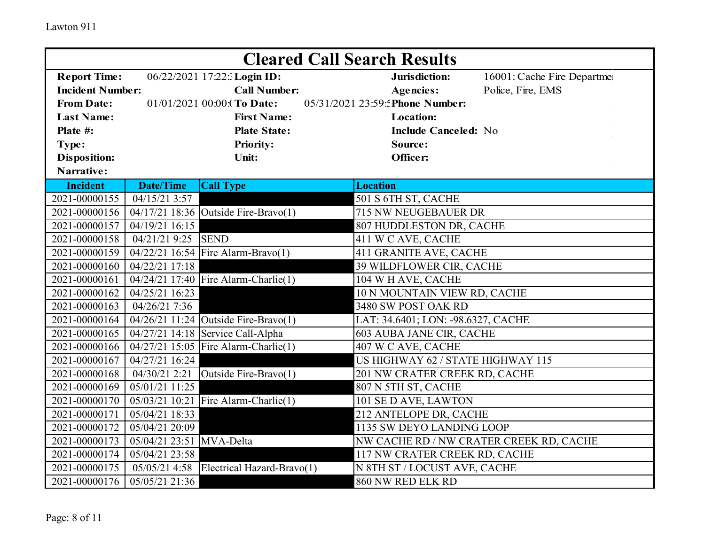| <b>Cleared Call Search Results</b> |                          |                                      |                                    |                                         |  |
|------------------------------------|--------------------------|--------------------------------------|------------------------------------|-----------------------------------------|--|
| <b>Report Time:</b>                |                          | 06/22/2021 17:22: Login ID:          | Jurisdiction:                      | 16001: Cache Fire Departme              |  |
| <b>Incident Number:</b>            |                          | <b>Call Number:</b>                  | <b>Agencies:</b>                   | Police, Fire, EMS                       |  |
| <b>From Date:</b>                  |                          | 01/01/2021 00:00:(To Date:           | 05/31/2021 23:59: Phone Number:    |                                         |  |
| <b>Last Name:</b>                  |                          | <b>First Name:</b>                   | <b>Location:</b>                   |                                         |  |
| Plate #:                           |                          | <b>Plate State:</b>                  | <b>Include Canceled: No</b>        |                                         |  |
| Type:                              |                          | <b>Priority:</b>                     | Source:                            |                                         |  |
| <b>Disposition:</b>                |                          | Unit:                                | Officer:                           |                                         |  |
| Narrative:                         |                          |                                      |                                    |                                         |  |
| <b>Incident</b>                    | <b>Date/Time</b>         | <b>Call Type</b>                     | <b>Location</b>                    |                                         |  |
| 2021-00000155                      | 04/15/21 3:57            |                                      | 501 S 6TH ST, CACHE                |                                         |  |
| 2021-00000156                      |                          | 04/17/21 18:36 Outside Fire-Bravo(1) | 715 NW NEUGEBAUER DR               |                                         |  |
| 2021-00000157                      | 04/19/21 16:15           |                                      | 807 HUDDLESTON DR, CACHE           |                                         |  |
| 2021-00000158                      | 04/21/21 9:25 SEND       |                                      | 411 W C AVE, CACHE                 |                                         |  |
| 2021-00000159                      |                          | 04/22/21 16:54 Fire Alarm-Bravo(1)   | 411 GRANITE AVE, CACHE             |                                         |  |
| 2021-00000160                      | 04/22/21 17:18           |                                      | 39 WILDFLOWER CIR, CACHE           |                                         |  |
| 2021-00000161                      |                          | 04/24/21 17:40 Fire Alarm-Charlie(1) | 104 W H AVE, CACHE                 |                                         |  |
| 2021-00000162                      | 04/25/21 16:23           |                                      | 10 N MOUNTAIN VIEW RD, CACHE       |                                         |  |
| 2021-00000163                      | 04/26/21 7:36            |                                      | 3480 SW POST OAK RD                |                                         |  |
| 2021-00000164                      |                          | 04/26/21 11:24 Outside Fire-Bravo(1) | LAT: 34.6401; LON: -98.6327, CACHE |                                         |  |
| 2021-00000165                      |                          | 04/27/21 14:18 Service Call-Alpha    | 603 AUBA JANE CIR, CACHE           |                                         |  |
| 2021-00000166                      |                          | 04/27/21 15:05 Fire Alarm-Charlie(1) | 407 W C AVE, CACHE                 |                                         |  |
| 2021-00000167                      | 04/27/21 16:24           |                                      | US HIGHWAY 62 / STATE HIGHWAY 115  |                                         |  |
| 2021-00000168                      | 04/30/21 2:21            | Outside Fire-Bravo(1)                | 201 NW CRATER CREEK RD, CACHE      |                                         |  |
| 2021-00000169                      | 05/01/21 11:25           |                                      | 807 N 5TH ST, CACHE                |                                         |  |
| 2021-00000170                      |                          | 05/03/21 10:21 Fire Alarm-Charlie(1) | 101 SE D AVE, LAWTON               |                                         |  |
| 2021-00000171                      | 05/04/21 18:33           |                                      | 212 ANTELOPE DR, CACHE             |                                         |  |
| 2021-00000172                      | 05/04/21 20:09           |                                      | 1135 SW DEYO LANDING LOOP          |                                         |  |
| 2021-00000173                      | 05/04/21 23:51 MVA-Delta |                                      |                                    | NW CACHE RD / NW CRATER CREEK RD, CACHE |  |
| 2021-00000174                      | 05/04/21 23:58           |                                      | 117 NW CRATER CREEK RD, CACHE      |                                         |  |
| 2021-00000175                      | 05/05/21 4:58            | Electrical Hazard-Bravo(1)           | N 8TH ST / LOCUST AVE, CACHE       |                                         |  |
| 2021-00000176                      | 05/05/21 21:36           |                                      | 860 NW RED ELK RD                  |                                         |  |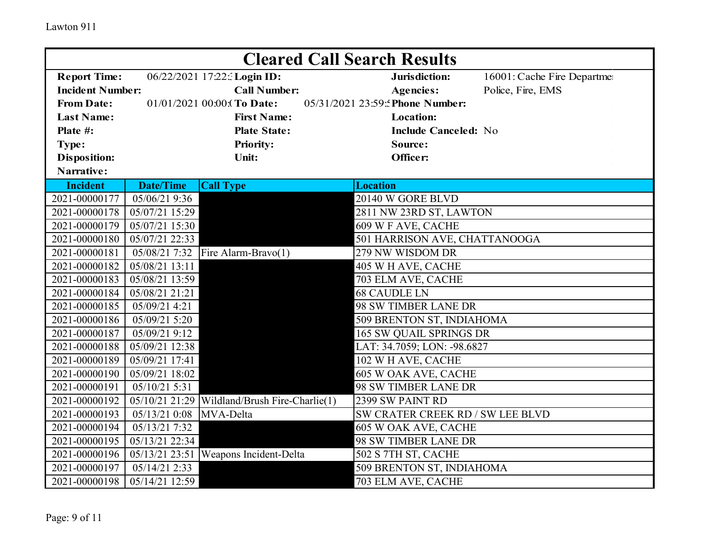|                         | <b>Cleared Call Search Results</b> |                                                 |                                             |  |  |  |
|-------------------------|------------------------------------|-------------------------------------------------|---------------------------------------------|--|--|--|
| <b>Report Time:</b>     |                                    | 06/22/2021 17:22: Login ID:                     | Jurisdiction:<br>16001: Cache Fire Departme |  |  |  |
| <b>Incident Number:</b> |                                    | <b>Call Number:</b>                             | Police, Fire, EMS<br><b>Agencies:</b>       |  |  |  |
| <b>From Date:</b>       |                                    | 01/01/2021 00:00: To Date:                      | 05/31/2021 23:59: Phone Number:             |  |  |  |
| <b>Last Name:</b>       |                                    | <b>First Name:</b>                              | <b>Location:</b>                            |  |  |  |
| Plate #:                |                                    | <b>Plate State:</b>                             | <b>Include Canceled: No</b>                 |  |  |  |
| Type:                   |                                    | <b>Priority:</b>                                | Source:                                     |  |  |  |
| <b>Disposition:</b>     |                                    | Unit:                                           | Officer:                                    |  |  |  |
| Narrative:              |                                    |                                                 |                                             |  |  |  |
| <b>Incident</b>         | <b>Date/Time</b>                   | <b>Call Type</b>                                | <b>Location</b>                             |  |  |  |
| 2021-00000177           | 05/06/21 9:36                      |                                                 | 20140 W GORE BLVD                           |  |  |  |
| 2021-00000178           | 05/07/21 15:29                     |                                                 | 2811 NW 23RD ST, LAWTON                     |  |  |  |
| 2021-00000179           | 05/07/21 15:30                     |                                                 | 609 W F AVE, CACHE                          |  |  |  |
| 2021-00000180           | 05/07/21 22:33                     |                                                 | 501 HARRISON AVE, CHATTANOOGA               |  |  |  |
| 2021-00000181           | 05/08/21 7:32                      | Fire Alarm-Bravo(1)                             | 279 NW WISDOM DR                            |  |  |  |
| 2021-00000182           | 05/08/21 13:11                     |                                                 | 405 W H AVE, CACHE                          |  |  |  |
| 2021-00000183           | 05/08/21 13:59                     |                                                 | 703 ELM AVE, CACHE                          |  |  |  |
| 2021-00000184           | 05/08/21 21:21                     |                                                 | <b>68 CAUDLE LN</b>                         |  |  |  |
| 2021-00000185           | 05/09/21 4:21                      |                                                 | 98 SW TIMBER LANE DR                        |  |  |  |
| 2021-00000186           | 05/09/21 5:20                      |                                                 | 509 BRENTON ST, INDIAHOMA                   |  |  |  |
| 2021-00000187           | 05/09/21 9:12                      |                                                 | <b>165 SW QUAIL SPRINGS DR</b>              |  |  |  |
| 2021-00000188           | 05/09/21 12:38                     |                                                 | LAT: 34.7059; LON: -98.6827                 |  |  |  |
| 2021-00000189           | 05/09/21 17:41                     |                                                 | 102 W H AVE, CACHE                          |  |  |  |
| 2021-00000190           | 05/09/21 18:02                     |                                                 | 605 W OAK AVE, CACHE                        |  |  |  |
| 2021-00000191           | 05/10/21 5:31                      |                                                 | 98 SW TIMBER LANE DR                        |  |  |  |
| 2021-00000192           |                                    | $05/10/21$ 21:29 Wildland/Brush Fire-Charlie(1) | 2399 SW PAINT RD                            |  |  |  |
| 2021-00000193           | 05/13/21 0:08                      | MVA-Delta                                       | SW CRATER CREEK RD / SW LEE BLVD            |  |  |  |
| 2021-00000194           | 05/13/21 7:32                      |                                                 | 605 W OAK AVE, CACHE                        |  |  |  |
| 2021-00000195           | 05/13/21 22:34                     |                                                 | 98 SW TIMBER LANE DR                        |  |  |  |
| 2021-00000196           |                                    | 05/13/21 23:51 Weapons Incident-Delta           | 502 S 7TH ST, CACHE                         |  |  |  |
| 2021-00000197           | 05/14/21 2:33                      |                                                 | 509 BRENTON ST, INDIAHOMA                   |  |  |  |
| 2021-00000198           | 05/14/21 12:59                     |                                                 | 703 ELM AVE, CACHE                          |  |  |  |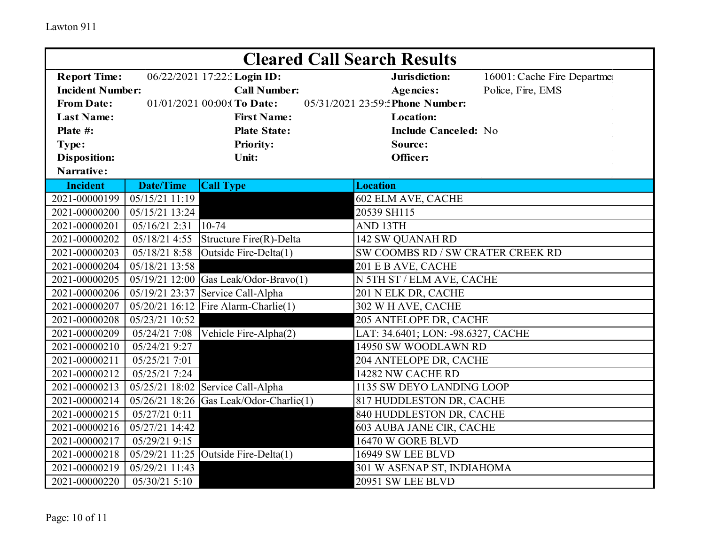|                         | <b>Cleared Call Search Results</b> |                                         |                                             |  |  |  |
|-------------------------|------------------------------------|-----------------------------------------|---------------------------------------------|--|--|--|
| <b>Report Time:</b>     |                                    | 06/22/2021 17:22: Login ID:             | Jurisdiction:<br>16001: Cache Fire Departme |  |  |  |
| <b>Incident Number:</b> |                                    | <b>Call Number:</b>                     | Police, Fire, EMS<br><b>Agencies:</b>       |  |  |  |
| <b>From Date:</b>       |                                    | 01/01/2021 00:00: (To Date:             | 05/31/2021 23:59: Phone Number:             |  |  |  |
| <b>Last Name:</b>       |                                    | <b>First Name:</b>                      | <b>Location:</b>                            |  |  |  |
| Plate #:                |                                    | <b>Plate State:</b>                     | <b>Include Canceled: No</b>                 |  |  |  |
| Type:                   |                                    | <b>Priority:</b>                        | Source:                                     |  |  |  |
| <b>Disposition:</b>     |                                    | <b>Unit:</b>                            | Officer:                                    |  |  |  |
| Narrative:              |                                    |                                         |                                             |  |  |  |
| <b>Incident</b>         | <b>Date/Time</b>                   | <b>Call Type</b>                        | <b>Location</b>                             |  |  |  |
| 2021-00000199           | 05/15/21 11:19                     |                                         | 602 ELM AVE, CACHE                          |  |  |  |
| 2021-00000200           | 05/15/21 13:24                     |                                         | 20539 SH115                                 |  |  |  |
| 2021-00000201           | 05/16/21 2:31                      | $10-74$                                 | AND 13TH                                    |  |  |  |
| 2021-00000202           | 05/18/21 4:55                      | Structure Fire(R)-Delta                 | 142 SW QUANAH RD                            |  |  |  |
| 2021-00000203           | 05/18/21 8:58                      | Outside Fire-Delta(1)                   | SW COOMBS RD / SW CRATER CREEK RD           |  |  |  |
| 2021-00000204           | 05/18/21 13:58                     |                                         | 201 E B AVE, CACHE                          |  |  |  |
| 2021-00000205           |                                    | 05/19/21 12:00 Gas Leak/Odor-Bravo(1)   | N 5TH ST / ELM AVE, CACHE                   |  |  |  |
| 2021-00000206           |                                    | 05/19/21 23:37 Service Call-Alpha       | 201 N ELK DR, CACHE                         |  |  |  |
| 2021-00000207           |                                    | 05/20/21 16:12 Fire Alarm-Charlie(1)    | 302 W H AVE, CACHE                          |  |  |  |
| 2021-00000208           | 05/23/21 10:52                     |                                         | 205 ANTELOPE DR, CACHE                      |  |  |  |
| 2021-00000209           | 05/24/21 7:08                      | Vehicle Fire-Alpha(2)                   | LAT: 34.6401; LON: -98.6327, CACHE          |  |  |  |
| 2021-00000210           | 05/24/21 9:27                      |                                         | 14950 SW WOODLAWN RD                        |  |  |  |
| 2021-00000211           | 05/25/21 7:01                      |                                         | 204 ANTELOPE DR, CACHE                      |  |  |  |
| 2021-00000212           | 05/25/21 7:24                      |                                         | 14282 NW CACHE RD                           |  |  |  |
| 2021-00000213           |                                    | $05/25/21$ 18:02 Service Call-Alpha     | 1135 SW DEYO LANDING LOOP                   |  |  |  |
| 2021-00000214           |                                    | 05/26/21 18:26 Gas Leak/Odor-Charlie(1) | 817 HUDDLESTON DR, CACHE                    |  |  |  |
| 2021-00000215           | 05/27/21 0:11                      |                                         | 840 HUDDLESTON DR, CACHE                    |  |  |  |
| 2021-00000216           | 05/27/21 14:42                     |                                         | 603 AUBA JANE CIR, CACHE                    |  |  |  |
| 2021-00000217           | 05/29/21 9:15                      |                                         | 16470 W GORE BLVD                           |  |  |  |
| 2021-00000218           |                                    | $05/29/21$ 11:25 Outside Fire-Delta(1)  | 16949 SW LEE BLVD                           |  |  |  |
| 2021-00000219           | 05/29/21 11:43                     |                                         | 301 W ASENAP ST, INDIAHOMA                  |  |  |  |
| 2021-00000220           | 05/30/21 5:10                      |                                         | 20951 SW LEE BLVD                           |  |  |  |